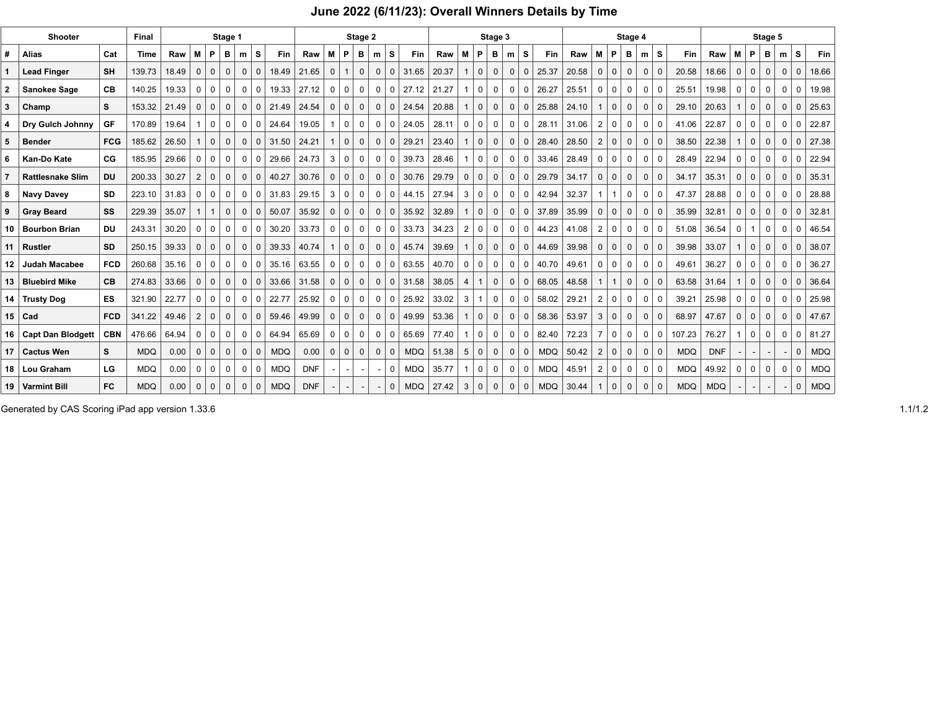## **June 2022 (6/11/23): Overall Winners Details by Time**

| Shooter |                         |            | Final       | Stage 1 |              |              |              |                |              | Stage 2    |            |                |              |              | Stage 3        |              |            |       |                |              |              | Stage 4      |              |            |       |                |              | Stage 5        |                |              |            |            |              |                   |             |              |              |            |
|---------|-------------------------|------------|-------------|---------|--------------|--------------|--------------|----------------|--------------|------------|------------|----------------|--------------|--------------|----------------|--------------|------------|-------|----------------|--------------|--------------|--------------|--------------|------------|-------|----------------|--------------|----------------|----------------|--------------|------------|------------|--------------|-------------------|-------------|--------------|--------------|------------|
|         | <b>Alias</b>            | Cat        | <b>Time</b> | Raw     | м            | P            | в            | m              | s            | <b>Fin</b> | Raw        | M              | P.           | в            | m              | <b>S</b>     | <b>Fin</b> | Raw   | M              | P.           | в            | m            | <b>S</b>     | Fin        | Raw   | M              | P            | в              | m              | s            | Fin        | Raw        | M            | P                 | в           | m            | <b>S</b>     | Fin        |
|         | <b>Lead Finger</b>      | <b>SH</b>  | 139.73      | 18.49   |              | $\mathbf{0}$ | $\Omega$     | $\Omega$       | $\Omega$     | 18.49      | 21.65      | $\Omega$       | $\mathbf{1}$ | $\Omega$     | $\mathbf 0$    | $\mathbf 0$  | 31.65      | 20.37 |                | $\mathbf 0$  | $\Omega$     | $\Omega$     | $\mathbf{0}$ | 25.37      | 20.58 | $\Omega$       | $\Omega$     | $\Omega$       | $\mathbf{0}$   | $\Omega$     | 20.58      | 18.66      | $\Omega$     | $\cdot$ 0 $\cdot$ | $\Omega$    | $\mathbf{0}$ | $\Omega$     | 18.66      |
|         | Sanokee Sage            | <b>CB</b>  | 140.25      | 19.33   | 0            | $\mathbf 0$  | 0            | $\mathbf 0$    | $\mathbf 0$  | 19.33      | 27.12      | $\mathbf 0$    | $\mathbf 0$  | 0            | 0              | 0            | 27.12      | 21.27 | $\overline{1}$ | $\mathbf 0$  | $\mathbf 0$  | $\mathbf 0$  | $\mathbf 0$  | 26.27      | 25.51 | $\mathbf 0$    | $\mathbf 0$  | $\mathbf 0$    | $\mathbf 0$    | $\mathbf 0$  | 25.51      | 19.98      | 0            | $\mathbf 0$       | 0           | 0            | $\mathbf 0$  | 19.98      |
|         | Champ                   | S          | 153.32      | 21.49   | $\mathbf{0}$ | 0            | $\mathbf 0$  | $\mathbf{0}$   | $\mathbf 0$  | 21.49      | 24.54      | $\mathbf 0$    | $\mathbf 0$  | $\mathbf 0$  | $\mathbf{0}$   | $\mathbf 0$  | 24.54      | 20.88 |                | $\mathbf 0$  | $\mathbf{0}$ | 0            | 0            | 25.88      | 24.10 |                | $\mathbf{0}$ | $\mathbf 0$    | $\mathbf{0}$   | $\mathbf{0}$ | 29.10      | 20.63      | $\mathbf{1}$ | $\mathbf{0}$      | $\mathbf 0$ | 0            | $\mathbf{0}$ | 25.63      |
|         | Dry Gulch Johnny        | GF         | 170.89      | 19.64   |              | 0            | $\Omega$     | $\Omega$       | $\mathbf 0$  | 24.64      | 19.05      | -1             | $\mathbf 0$  | 0            | $\mathbf 0$    | 0            | 24.05      | 28.11 | 0              | $\mathbf 0$  | 0            | $\mathbf 0$  | 0            | 28.11      | 31.06 | 2              | $\mathbf 0$  | $\mathbf 0$    | $\mathbf 0$    | $\Omega$     | 41.06      | 22.87      | 0            | $^{\circ}$        | 0           | 0            | $\mathbf 0$  | 22.87      |
| 5       | <b>Bender</b>           | <b>FCG</b> | 185.62      | 26.50   |              | $\mathbf 0$  | $\Omega$     | $\mathbf{0}$   | $\mathbf{0}$ | 31.50      | 24.21      | -1             | $\mathbf{0}$ | $\mathbf 0$  | $\mathbf 0$    | $\mathbf{0}$ | 29.21      | 23.40 |                | $\mathbf 0$  | $\mathbf 0$  | $\mathbf{0}$ | $\mathbf 0$  | 28.40      | 28.50 | 2              | $\mathbf 0$  | $\mathbf{0}$   | $\mathbf{0}$   | $\mathbf{0}$ | 38.50      | 22.38      | $\mathbf{1}$ | 0 <sup>1</sup>    | $\mathbf 0$ | $\mathbf{0}$ | $\mathbf 0$  | 27.38      |
|         | Kan-Do Kate             | CG.        | 185.95      | 29.66   | $\Omega$     | $\Omega$     | $\Omega$     | $\Omega$       | $\Omega$     | 29.66      | 24.73      | 3              | $\Omega$     | $\Omega$     | $\Omega$       | $\Omega$     | 39.73      | 28.46 |                | $\Omega$     | $\Omega$     | $\Omega$     | $\Omega$     | 33.46      | 28.49 | n              | $\Omega$     | $\Omega$       | $\Omega$       | $\Omega$     | 28.49      | 22.94      | $\Omega$     | $\Omega$          | $\Omega$    | $\Omega$     | $\Omega$     | 22.94      |
|         | <b>Rattlesnake Slim</b> | <b>DU</b>  | 200.33      | 30.27   | 2            | $\mathbf{0}$ | $\mathbf 0$  | $\mathbf{0}$   | $\mathbf{0}$ | 40.27      | 30.76      | $\mathbf 0$    | $\mathbf{0}$ | $\mathbf 0$  | $\mathbf 0$    | $\mathbf{0}$ | 30.76      | 29.79 | $\mathbf{0}$   | $\mathbf{0}$ | $\mathbf 0$  | $\mathbf 0$  | $\mathbf 0$  | 29.79      | 34.17 | $\mathbf 0$    | $\mathbf 0$  | $\mathbf{0}$   | $\mathbf{0}$   | $\mathbf 0$  | 34.17      | 35.31      | $\mathbf{0}$ | $\mathbf{0}$      | $\mathbf 0$ | 0            | $\mathbf{0}$ | 35.31      |
|         | <b>Navy Davey</b>       | <b>SD</b>  | 223.10      | 31.83   |              | $\mathbf 0$  | $\Omega$     | 0 <sup>1</sup> | 0            | 31.83      | 29.15      | 3              | $\mathbf 0$  | $\mathbf 0$  | 0 <sup>1</sup> | $\mathbf 0$  | 44.15      | 27.94 | 3              | $\mathbf 0$  | $\mathbf 0$  | $\mathbf 0$  | $\mathbf 0$  | 42.94      | 32.37 |                |              | $\mathbf 0$    | $\mathbf 0$    | $\mathbf 0$  | 47.37      | 28.88      | $\mathbf{0}$ | $^{\circ}$        | 0           | $\mathbf 0$  | $\mathbf 0$  | 28.88      |
|         | <b>Gray Beard</b>       | SS         | 229.39      | 35.07   |              |              | $\Omega$     | $\Omega$       | $\mathbf 0$  | 50.07      | 35.92      | $0+$           | $\mathbf 0$  | $\mathbf 0$  | $\mathbf 0$    | $\mathbf 0$  | 35.92      | 32.89 |                | $\mathbf 0$  | $\mathbf 0$  | $\mathbf{0}$ | $\mathbf 0$  | 37.89      | 35.99 | $\mathbf 0$    | $\mathbf{0}$ | $\mathbf{0}$   | 0 <sup>1</sup> | $\mathbf{0}$ | 35.99      | 32.81      | $\mathbf{0}$ | 0 <sup>1</sup>    | $\mathbf 0$ | 0            | $\mathbf 0$  | 32.81      |
|         | 10 Bourbon Brian        | <b>DU</b>  | 243.31      | 30.20   | 0            | 0            | $\mathbf{0}$ | $\mathbf{0}$   | 0            | 30.20      | 33.73      | $\sim$ 0       | $\mathbf 0$  | $\mathbf 0$  | 0              | 0            | 33.73      | 34.23 | $\overline{2}$ | 0            | $\mathbf 0$  | 0            | $\mathbf 0$  | 44.23      | 41.08 | 2              | 0            | $\mathbf 0$    | 0              | 0            | 51.08      | 36.54      | 0            |                   | 0           | 0            | $\mathbf 0$  | 46.54      |
| 11      | Rustler                 | <b>SD</b>  | 250.15      | 39.33   | $\Omega$     | $\mathbf 0$  | $\Omega$     | $\mathbf{0}$   | $\mathbf{0}$ | 39.33      | 40.74      | $\overline{1}$ | $\mathbf{0}$ | $\mathbf 0$  | $\mathbf{0}$   | $\mathbf{0}$ | 45.74      | 39.69 |                | $\mathbf 0$  | $\mathbf{0}$ | $\mathbf 0$  | $\mathbf 0$  | 44.69      | 39.98 | $\Omega$       | $\mathbf 0$  | $\mathbf 0$    | $\mathbf{0}$   | $\Omega$     | 39.98      | 33.07      | $\mathbf{1}$ | $\mathbf{0}$      | $\mathbf 0$ | $\mathbf{0}$ | $\mathbf{0}$ | 38.07      |
| 12      | <b>Judah Macabee</b>    | <b>FCD</b> | 260.68      | 35.16   | 0            | 0            | 0            | 0 <sup>1</sup> | $\mathbf 0$  | 35.16      | 63.55      | 0              | 0            | 0            | $\mathbf 0$    | 0            | 63.55      | 40.70 | 0              | $\mathsf{O}$ | $\mathbf 0$  | 0            | $\mathbf 0$  | 40.70      | 49.61 | 0              | $\mathbf 0$  | 0              | $\mathbf 0$    | $\mathbf 0$  | 49.61      | 36.27      | 0            | $\mathbf 0$       | 0           | 0            | $\mathbf 0$  | 36.27      |
|         | 13   Bluebird Mike      | <b>CB</b>  | 274.83      | 33.66   | $\Omega$     | $\mathbf{0}$ | $\Omega$     | $\Omega$       | $\mathbf{0}$ | 33.66      | 31.58      | $\mathbf{0}$   | $\mathbf{0}$ | $\mathbf{0}$ | $\mathbf{0}$   | $\mathbf{0}$ | 31.58      | 38.05 | 4              |              | $\mathbf{0}$ | $\mathbf{0}$ | $\mathbf 0$  | 68.05      | 48.58 |                | $\mathbf{1}$ | $\mathbf{0}$   | $\mathbf{0}$   | $\Omega$     | 63.58      | 31.64      | $\mathbf{1}$ | 0 <sup>1</sup>    | $\Omega$    | $\mathbf{0}$ | $\mathbf{0}$ | 36.64      |
|         | 14 Trusty Dog           | <b>ES</b>  | 321.90      | 22.77   | $\Omega$     | $\mathbf 0$  | $\Omega$     | $\Omega$       | 0            | 22.77      | 25.92      | 0              | $\mathbf 0$  | 0            | $\mathbf{0}$   | $\mathbf 0$  | 25.92      | 33.02 | 3              |              | 0            | $\mathbf 0$  | $\mathbf 0$  | 58.02      | 29.21 | 2              | 0            | $\mathbf 0$    | $\mathbf 0$    | $\mathbf 0$  | 39.21      | 25.98      | 0            | $\cdot$ 0 $\cdot$ | 0           | 0            | $\mathbf 0$  | 25.98      |
|         | $15$ Cad                | <b>FCD</b> | 341.22      | 49.46   |              | $\Omega$     | $\Omega$     | $\Omega$       | $\Omega$     | 59.46      | 49.99      | $\Omega$       | $\mathbf{0}$ | $\Omega$     | $\Omega$       | $\mathbf{0}$ | 49.99      | 53.36 |                | $\mathbf 0$  | $\Omega$     | $\Omega$     | $\Omega$     | 58.36      | 53.97 | 3              | $\Omega$     | $\overline{0}$ | $\Omega$       | $\Omega$     | 68.97      | 47.67      | $\Omega$     | $\Omega$          | $\Omega$    | $\Omega$     | $\Omega$     | 47.67      |
|         | 16   Capt Dan Blodgett  | <b>CBN</b> | 476.66      | 64.94   | 0            | $\mathbf 0$  | $\Omega$     | $\mathbf 0$    | $\mathbf 0$  | 64.94      | 65.69      | $\mathbf 0$    | $\mathbf 0$  | $\mathbf 0$  | $\mathbf 0$    | $\mathbf 0$  | 65.69      | 77.40 | $\overline{1}$ | $\mathbf 0$  | $\mathbf 0$  | $\mathbf 0$  | $^{\circ}$   | 82.40      | 72.23 | $\overline{7}$ | $\mathbf 0$  | $\mathbf 0$    | $\mathbf 0$    | $\mathbf 0$  | 107.23     | 76.27      | $\mathbf{1}$ | $\mathbf 0$       | 0           | $\mathbf 0$  | $\mathbf 0$  | 81.27      |
|         | 17   Cactus Wen         | s          | <b>MDQ</b>  | 0.00    | $\mathbf{0}$ | 0            | $\mathbf 0$  | $\mathbf 0$    | 0            | <b>MDQ</b> | 0.00       | $\mathbf 0$    | $\mathbf{0}$ | $\mathbf 0$  | $\mathbf 0$    | $\mathbf 0$  | <b>MDQ</b> | 51.38 | 5              | $\mathbf 0$  | $\mathbf 0$  | 0            | 0            | <b>MDQ</b> | 50.42 | $\overline{2}$ | $\mathbf{0}$ | $\mathbf{0}$   | $\mathbf 0$    | $\mathbf 0$  | <b>MDQ</b> | <b>DNF</b> |              |                   |             |              | $\Omega$     | <b>MDQ</b> |
|         | 18 Lou Graham           | LG         | <b>MDQ</b>  | 0.00    | $\Omega$     | 0            | $\Omega$     | $\Omega$       | 0            | <b>MDQ</b> | <b>DNF</b> |                |              |              |                | 0            | <b>MDQ</b> | 35.77 |                | 0            | 0            | 0            | 0            | <b>MDQ</b> | 45.91 | $\overline{2}$ | $\mathbf 0$  | 0              | $\mathbf 0$    | 0            | <b>MDQ</b> | 49.92      | 0            | $\Omega$          | 0           | 0            | 0            | <b>MDQ</b> |
|         | 19 Varmint Bill         | <b>FC</b>  | <b>MDQ</b>  | 0.00    | $\mathbf{0}$ | 0            | $\mathbf{0}$ | $\mathbf{0}$   | $\mathbf{0}$ | <b>MDQ</b> | <b>DNF</b> |                |              |              |                | $\mathbf{0}$ | <b>MDQ</b> | 27.42 | 3              | 0            | $\mathbf 0$  | $\mathbf{0}$ | 0            | <b>MDQ</b> | 30.44 |                | $\mathbf{0}$ | $\mathbf 0$    | 0              | $\mathbf{0}$ | <b>MDQ</b> | <b>MDQ</b> |              |                   |             |              | $\Omega$     | <b>MDQ</b> |

Generated by CAS Scoring iPad app version 1.33.6 1.1/1.2